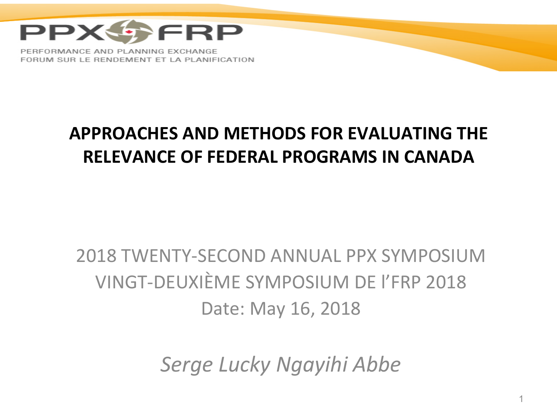

### **APPROACHES AND METHODS FOR EVALUATING THE RELEVANCE OF FEDERAL PROGRAMS IN CANADA**

### 2018 TWENTY-SECOND ANNUAL PPX SYMPOSIUM VINGT-DEUXIÈME SYMPOSIUM DE l'FRP 2018 Date: May 16, 2018

*Serge Lucky Ngayihi Abbe*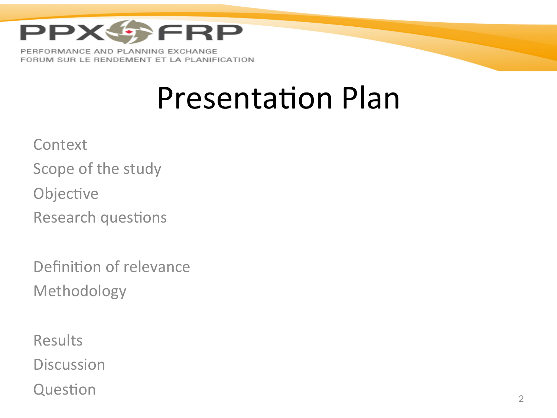

FORUM SUR LE RENDEMENT ET LA PLANIFICATION

## **Presentation Plan**

**Context** 

Scope of the study

Objective

Research questions

Definition of relevance Methodology 

Results **Discussion**  $Question$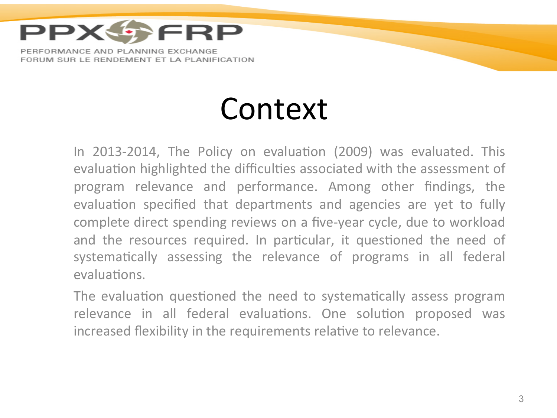

## Context

In 2013-2014, The Policy on evaluation (2009) was evaluated. This evaluation highlighted the difficulties associated with the assessment of program relevance and performance. Among other findings, the evaluation specified that departments and agencies are yet to fully complete direct spending reviews on a five-year cycle, due to workload and the resources required. In particular, it questioned the need of systematically assessing the relevance of programs in all federal evaluations.

The evaluation questioned the need to systematically assess program relevance in all federal evaluations. One solution proposed was increased flexibility in the requirements relative to relevance.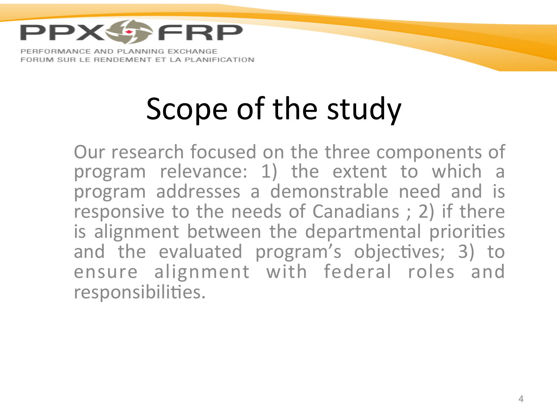

# Scope of the study

Our research focused on the three components of program relevance: 1) the extent to which a program addresses a demonstrable need and is responsive to the needs of Canadians ; 2) if there is alignment between the departmental priorities and the evaluated program's objectives; 3) to ensure alignment with federal roles and responsibilities.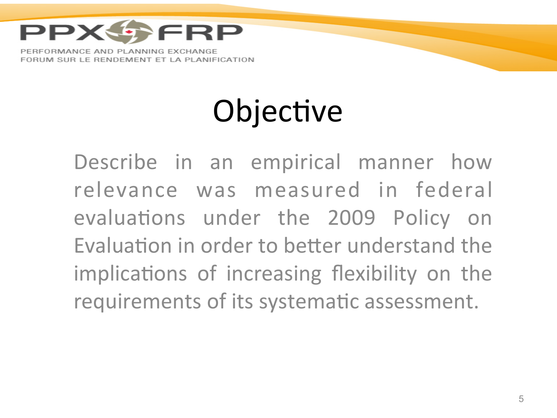

# Objective

Describe in an empirical manner how relevance was measured in federal evaluations under the 2009 Policy on Evaluation in order to better understand the implications of increasing flexibility on the requirements of its systematic assessment.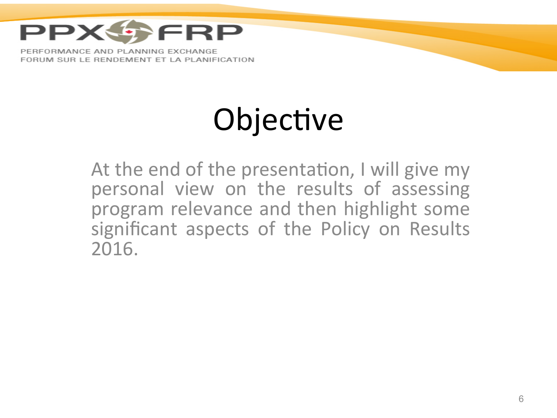

# Objective

At the end of the presentation, I will give my personal view on the results of assessing program relevance and then highlight some significant aspects of the Policy on Results 2016.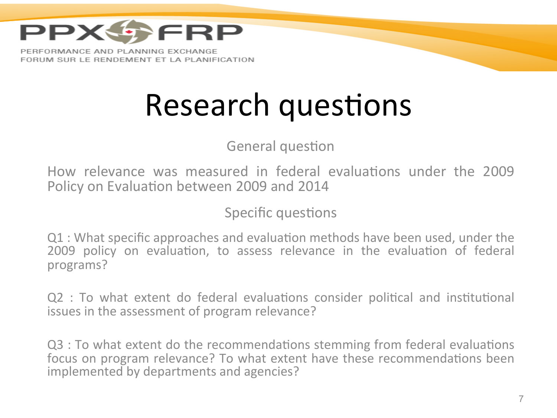

## Research questions

General question

How relevance was measured in federal evaluations under the 2009 Policy on Evaluation between 2009 and 2014

Specific questions

Q1 : What specific approaches and evaluation methods have been used, under the 2009 policy on evaluation, to assess relevance in the evaluation of federal programs? 

 $Q2$  : To what extent do federal evaluations consider political and institutional issues in the assessment of program relevance?

Q3 : To what extent do the recommendations stemming from federal evaluations focus on program relevance? To what extent have these recommendations been implemented by departments and agencies?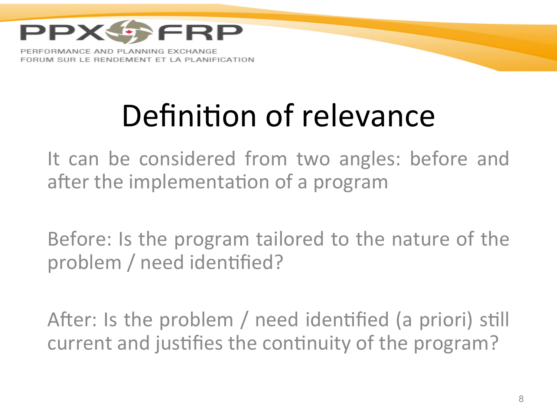

# Definition of relevance

It can be considered from two angles: before and after the implementation of a program

Before: Is the program tailored to the nature of the problem / need identified?

After: Is the problem / need identified (a priori) still current and justifies the continuity of the program?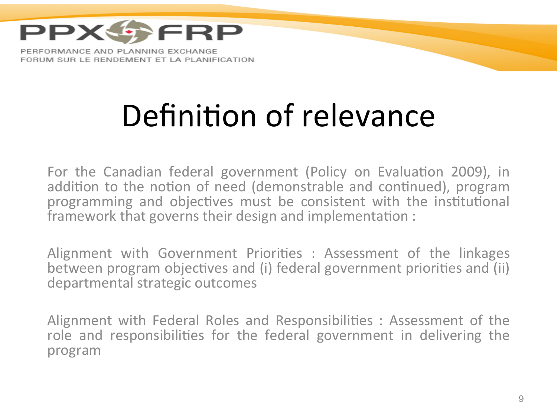

# Definition of relevance

For the Canadian federal government (Policy on Evaluation 2009), in addition to the notion of need (demonstrable and continued), program programming and objectives must be consistent with the institutional framework that governs their design and implementation :

Alignment with Government Priorities : Assessment of the linkages between program objectives and (i) federal government priorities and (ii) departmental strategic outcomes

Alignment with Federal Roles and Responsibilities : Assessment of the role and responsibilities for the federal government in delivering the program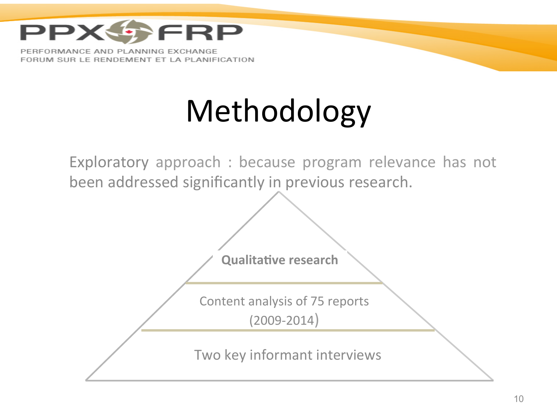

# Methodology

Exploratory approach : because program relevance has not been addressed significantly in previous research.

**Qualitative research** 

Content analysis of 75 reports (2009-2014) 

Two key informant interviews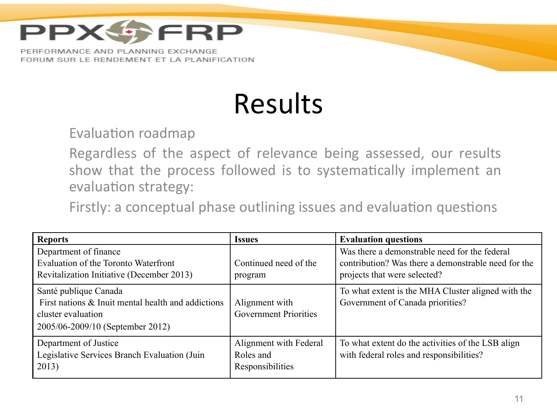

## Results

Evaluation roadmap

Regardless of the aspect of relevance being assessed, our results show that the process followed is to systematically implement an evaluation strategy:

Firstly: a conceptual phase outlining issues and evaluation questions

| <b>Reports</b>                                                                                                                        | <b>Issues</b>                                           | <b>Evaluation questions</b>                                                                                                          |
|---------------------------------------------------------------------------------------------------------------------------------------|---------------------------------------------------------|--------------------------------------------------------------------------------------------------------------------------------------|
| Department of finance<br>Evaluation of the Toronto Waterfront<br>Revitalization Initiative (December 2013)                            | Continued need of the<br>program                        | Was there a demonstrable need for the federal<br>contribution? Was there a demonstrable need for the<br>projects that were selected? |
| Santé publique Canada<br>First nations & Inuit mental health and addictions<br>cluster evaluation<br>2005/06-2009/10 (September 2012) | Alignment with<br><b>Government Priorities</b>          | To what extent is the MHA Cluster aligned with the<br>Government of Canada priorities?                                               |
| Department of Justice<br>Legislative Services Branch Evaluation (Juin<br>2013)                                                        | Alignment with Federal<br>Roles and<br>Responsibilities | To what extent do the activities of the LSB align<br>with federal roles and responsibilities?                                        |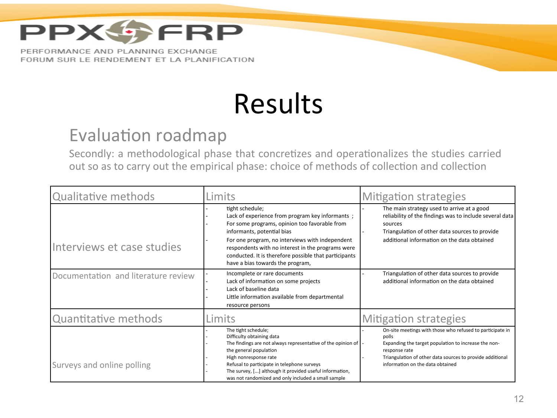

## Results

#### Evaluation roadmap

Secondly: a methodological phase that concretizes and operationalizes the studies carried out so as to carry out the empirical phase: choice of methods of collection and collection

| <b>Qualitative methods</b>          | Limits                                                                                                                                                                                                                                                                                                                                                 | <b>Mitigation strategies</b>                                                                                                                                                                                                                 |  |
|-------------------------------------|--------------------------------------------------------------------------------------------------------------------------------------------------------------------------------------------------------------------------------------------------------------------------------------------------------------------------------------------------------|----------------------------------------------------------------------------------------------------------------------------------------------------------------------------------------------------------------------------------------------|--|
| Interviews et case studies          | tight schedule;<br>Lack of experience from program key informants;<br>For some programs, opinion too favorable from<br>informants, potential bias<br>For one program, no interviews with independent<br>respondents with no interest in the programs were<br>conducted. It is therefore possible that participants<br>have a bias towards the program, | The main strategy used to arrive at a good<br>reliability of the findings was to include several data<br>sources<br>Triangulation of other data sources to provide<br>additional information on the data obtained                            |  |
| Documentation and literature review | Incomplete or rare documents<br>Lack of information on some projects<br>Lack of baseline data<br>Little information available from departmental<br>resource persons                                                                                                                                                                                    | Triangulation of other data sources to provide<br>additional information on the data obtained                                                                                                                                                |  |
| Quantitative methods                | Limits                                                                                                                                                                                                                                                                                                                                                 | <b>Mitigation strategies</b>                                                                                                                                                                                                                 |  |
| Surveys and online polling          | The tight schedule;<br>Difficulty obtaining data<br>The findings are not always representative of the opinion of<br>the general population<br>High nonresponse rate<br>Refusal to participate in telephone surveys<br>The survey, [] although it provided useful information,<br>was not randomized and only included a small sample                   | On-site meetings with those who refused to participate in<br>polls<br>Expanding the target population to increase the non-<br>response rate<br>Triangulation of other data sources to provide additional<br>information on the data obtained |  |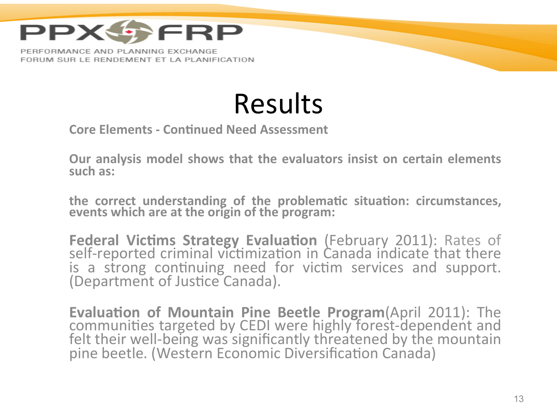

FORUM SUR LE RENDEMENT ET LA PLANIFICATION

Results 

**Core Elements - Continued Need Assessment** 

**Our analysis model shows that the evaluators insist on certain elements** such as:

the correct understanding of the problematic situation: circumstances, events which are at the origin of the program:

Federal Victims Strategy Evaluation (February 2011): Rates of self-reported criminal victimization in Canada indicate that there is a strong continuing need for victim services and support. (Department of Justice Canada).

Evaluation of Mountain Pine Beetle Program(April 2011): The communities targeted by CEDI were highly forest-dependent and felt their well-being was significantly threatened by the mountain pine beetle. (Western Economic Diversification Canada)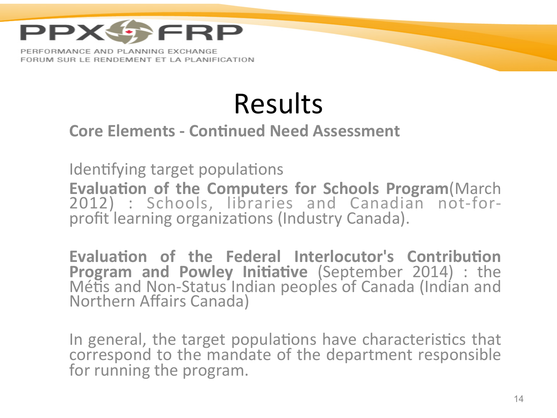

## Results

#### **Core Elements - Continued Need Assessment**

Identifying target populations **Evaluation of the Computers for Schools Program**(March 2012) : Schools, libraries and Canadian not-forprofit learning organizations (Industry Canada).

Evaluation of the Federal Interlocutor's Contribution **Program and Powley Initiative (September 2014) : the** Métis and Non-Status Indian peoples of Canada (Indian and Northern Affairs Canada)

In general, the target populations have characteristics that correspond to the mandate of the department responsible for running the program.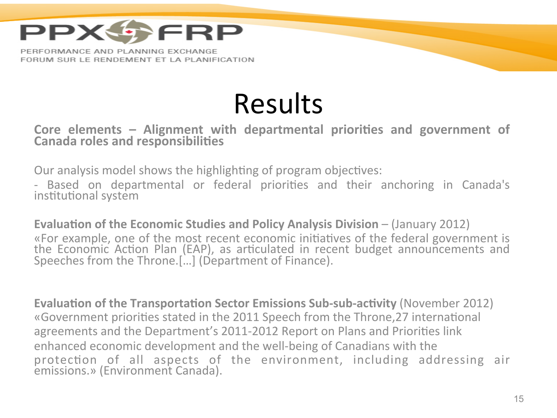

### Results

#### Core elements – Alignment with departmental priorities and government of **Canada roles and responsibilities**

Our analysis model shows the highlighting of program objectives:

- Based on departmental or federal priorities and their anchoring in Canada's institutional system

**Evaluation of the Economic Studies and Policy Analysis Division – (January 2012)** «For example, one of the most recent economic initiatives of the federal government is the Economic Action Plan (EAP), as articulated in recent budget announcements and Speeches from the Throne.[...] (Department of Finance).

**Evaluation of the Transportation Sector Emissions Sub-sub-activity** (November 2012) «Government priorities stated in the 2011 Speech from the Throne, 27 international agreements and the Department's 2011-2012 Report on Plans and Priorities link enhanced economic development and the well-being of Canadians with the protection of all aspects of the environment, including addressing air emissions.» (Environment Canada).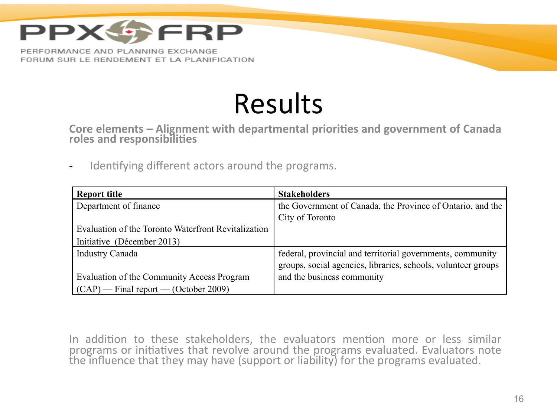

### Results

Core elements - Alignment with departmental priorities and government of Canada roles and responsibilities

- Identifying different actors around the programs.

| <b>Report title</b>                                 | <b>Stakeholders</b>                                           |
|-----------------------------------------------------|---------------------------------------------------------------|
| Department of finance                               | the Government of Canada, the Province of Ontario, and the    |
|                                                     | City of Toronto                                               |
| Evaluation of the Toronto Waterfront Revitalization |                                                               |
| Initiative (Décember 2013)                          |                                                               |
| <b>Industry Canada</b>                              | federal, provincial and territorial governments, community    |
|                                                     | groups, social agencies, libraries, schools, volunteer groups |
| Evaluation of the Community Access Program          | and the business community                                    |
| $(CAP)$ - Final report - (October 2009)             |                                                               |

In addition to these stakeholders, the evaluators mention more or less similar programs or initiatives that revolve around the programs evaluated. Evaluators note the influence that they may have (support or liability) for the programs evaluated.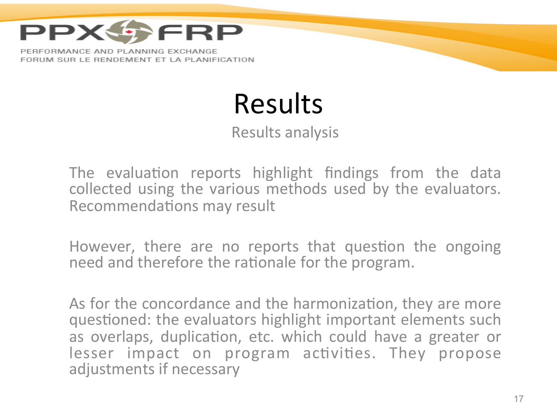

### Results

Results analysis

The evaluation reports highlight findings from the data collected using the various methods used by the evaluators. Recommendations may result

However, there are no reports that question the ongoing need and therefore the rationale for the program.

As for the concordance and the harmonization, they are more questioned: the evaluators highlight important elements such as overlaps, duplication, etc. which could have a greater or lesser impact on program activities. They propose adjustments if necessary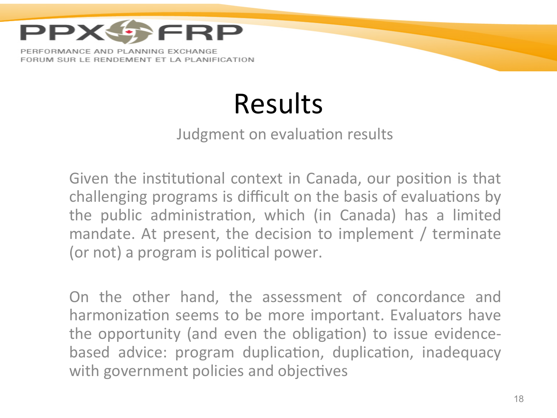

## Results

#### Judgment on evaluation results

Given the institutional context in Canada, our position is that challenging programs is difficult on the basis of evaluations by the public administration, which (in Canada) has a limited mandate. At present, the decision to implement / terminate (or not) a program is political power.

On the other hand, the assessment of concordance and harmonization seems to be more important. Evaluators have the opportunity (and even the obligation) to issue evidencebased advice: program duplication, duplication, inadequacy with government policies and objectives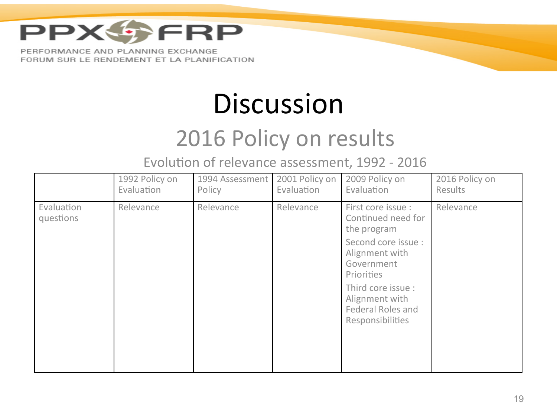

### **Discussion**

### 2016 Policy on results

Evolution of relevance assessment, 1992 - 2016

|                         | 1992 Policy on<br>Evaluation | 1994 Assessment<br>Policy | 2001 Policy on<br>Evaluation | 2009 Policy on<br>Evaluation                                                         | 2016 Policy on<br>Results |
|-------------------------|------------------------------|---------------------------|------------------------------|--------------------------------------------------------------------------------------|---------------------------|
| Evaluation<br>questions | Relevance                    | Relevance                 | Relevance                    | First core issue :<br>Continued need for<br>the program                              | Relevance                 |
|                         |                              |                           |                              | Second core issue :<br>Alignment with<br>Government<br>Priorities                    |                           |
|                         |                              |                           |                              | Third core issue :<br>Alignment with<br><b>Federal Roles and</b><br>Responsibilities |                           |
|                         |                              |                           |                              |                                                                                      |                           |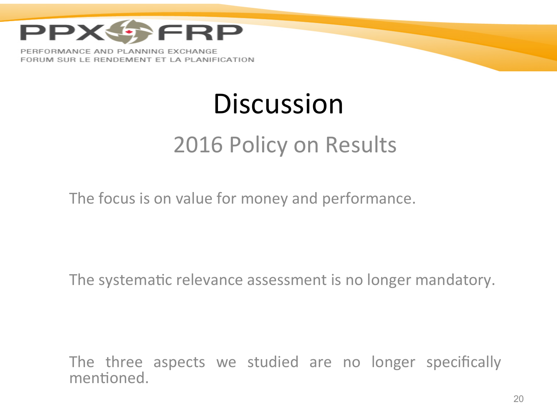

### **Discussion**

### 2016 Policy on Results

The focus is on value for money and performance.

The systematic relevance assessment is no longer mandatory.

The three aspects we studied are no longer specifically mentioned.